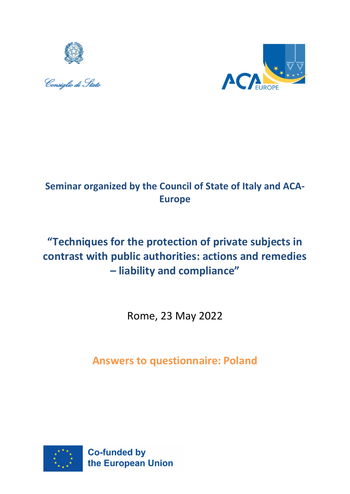





## **Seminar organized by the Council of State of Italy and ACA-Europe**

# **"Techniques for the protection of private subjects in contrast with public authorities: actions and remedies – liability and compliance"**

Rome, 23 May 2022

**Answers to questionnaire: Poland**

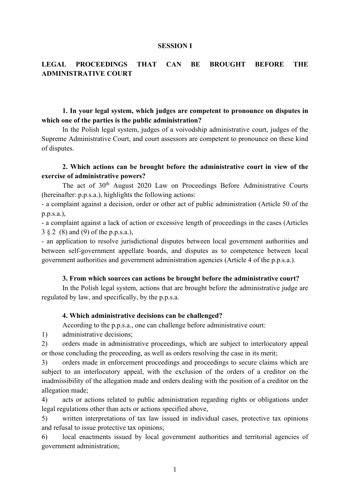#### **SESSION I**

## **LEGAL PROCEEDINGS THAT CAN BE BROUGHT BEFORE THE ADMINISTRATIVE COURT**

## **1. In your legal system, which judges are competent to pronounce on disputes in which one of the parties is the public administration?**

In the Polish legal system, judges of a voivodship administrative court, judges of the Supreme Administrative Court, and court assessors are competent to pronounce on these kind of disputes.

## **2. Which actions can be brought before the administrative court in view of the exercise of administrative powers?**

The act of 30<sup>th</sup> August 2020 Law on Proceedings Before Administrative Courts (hereinafter: p.p.s.a.), highlights the following actions:

- a complaint against a decision, order or other act of public administration (Article 50 of the p.p.s.a.),

- a complaint against a lack of action or excessive length of proceedings in the cases (Articles 3 § 2 (8) and (9) of the p.p.s.a.),

- an application to resolve jurisdictional disputes between local government authorities and between self-government appellate boards, and disputes as to competence between local government authorities and government administration agencies (Article 4 of the p.p.s.a.).

#### **3. From which sources can actions be brought before the administrative court?**

In the Polish legal system, actions that are brought before the administrative judge are regulated by law, and specifically, by the p.p.s.a.

#### **4. Which administrative decisions can be challenged?**

According to the p.p.s.a., one can challenge before administrative court:

1) administrative decisions;

2) orders made in administrative proceedings, which are subject to interlocutory appeal or those concluding the proceeding, as well as orders resolving the case in its merit;

3) orders made in enforcement proceedings and proceedings to secure claims which are subject to an interlocutory appeal, with the exclusion of the orders of a creditor on the inadmissibility of the allegation made and orders dealing with the position of a creditor on the allegation made;

4) acts or actions related to public administration regarding rights or obligations under legal regulations other than acts or actions specified above,

5) written interpretations of tax law issued in individual cases, protective tax opinions and refusal to issue protective tax opinions;

6) local enactments issued by local government authorities and territorial agencies of government administration;

1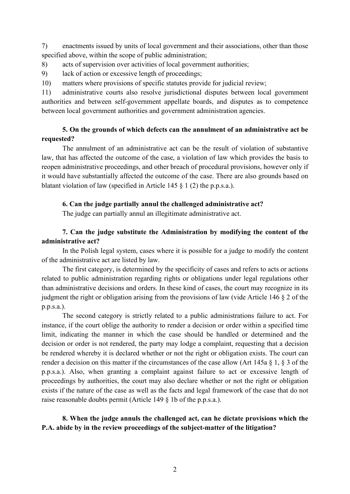7) enactments issued by units of local government and their associations, other than those specified above, within the scope of public administration;

8) acts of supervision over activities of local government authorities;

9) lack of action or excessive length of proceedings;

10) matters where provisions of specific statutes provide for judicial review;

11) administrative courts also resolve jurisdictional disputes between local government authorities and between self-government appellate boards, and disputes as to competence between local government authorities and government administration agencies.

## **5. On the grounds of which defects can the annulment of an administrative act be requested?**

The annulment of an administrative act can be the result of violation of substantive law, that has affected the outcome of the case, a violation of law which provides the basis to reopen administrative proceedings, and other breach of procedural provisions, however only if it would have substantially affected the outcome of the case. There are also grounds based on blatant violation of law (specified in Article 145 § 1 (2) the p.p.s.a.).

## **6. Can the judge partially annul the challenged administrative act?**

The judge can partially annul an illegitimate administrative act.

## **7. Can the judge substitute the Administration by modifying the content of the administrative act?**

In the Polish legal system, cases where it is possible for a judge to modify the content of the administrative act are listed by law.

The first category, is determined by the specificity of cases and refers to acts or actions related to public administration regarding rights or obligations under legal regulations other than administrative decisions and orders. In these kind of cases, the court may recognize in its judgment the right or obligation arising from the provisions of law (vide Article 146 § 2 of the p.p.s.a.).

The second category is strictly related to a public administrations failure to act. For instance, if the court oblige the authority to render a decision or order within a specified time limit, indicating the manner in which the case should be handled or determined and the decision or order is not rendered, the party may lodge a complaint, requesting that a decision be rendered whereby it is declared whether or not the right or obligation exists. The court can render a decision on this matter if the circumstances of the case allow (Art 145a § 1, § 3 of the p.p.s.a.). Also, when granting a complaint against failure to act or excessive length of proceedings by authorities, the court may also declare whether or not the right or obligation exists if the nature of the case as well as the facts and legal framework of the case that do not raise reasonable doubts permit (Article 149 § 1b of the p.p.s.a.).

## **8. When the judge annuls the challenged act, can he dictate provisions which the P.A. abide by in the review proceedings of the subject-matter of the litigation?**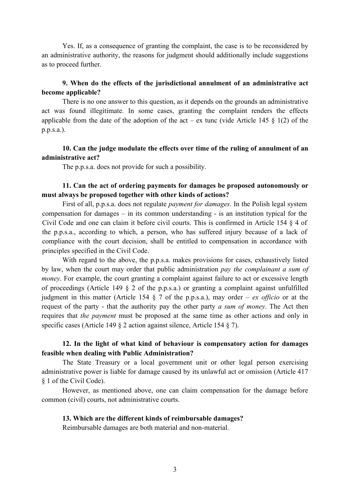Yes. If, as a consequence of granting the complaint, the case is to be reconsidered by an administrative authority, the reasons for judgment should additionally include suggestions as to proceed further.

## **9. When do the effects of the jurisdictional annulment of an administrative act become applicable?**

There is no one answer to this question, as it depends on the grounds an administrative act was found illegitimate. In some cases, granting the complaint renders the effects applicable from the date of the adoption of the act – ex tunc (vide Article 145  $\S$  1(2) of the p.p.s.a.).

## **10. Can the judge modulate the effects over time of the ruling of annulment of an administrative act?**

The p.p.s.a. does not provide for such a possibility.

## **11. Can the act of ordering payments for damages be proposed autonomously or must always be proposed together with other kinds of actions?**

First of all, p.p.s.a. does not regulate *payment for damages*. In the Polish legal system compensation for damages – in its common understanding - is an institution typical for the Civil Code and one can claim it before civil courts. This is confirmed in Article 154 § 4 of the p.p.s.a., according to which, a person, who has suffered injury because of a lack of compliance with the court decision, shall be entitled to compensation in accordance with principles specified in the Civil Code.

With regard to the above, the p.p.s.a. makes provisions for cases, exhaustively listed by law, when the court may order that public administration *pay the complainant a sum of money*. For example, the court granting a complaint against failure to act or excessive length of proceedings (Article 149 § 2 of the p.p.s.a.) or granting a complaint against unfulfilled judgment in this matter (Article 154 § 7 of the p.p.s.a.), may order – *ex officio* or at the request of the party - that the authority pay the other party *a sum of money*. The Act then requires that *the payment* must be proposed at the same time as other actions and only in specific cases (Article 149  $\S$  2 action against silence, Article 154  $\S$  7).

## **12. In the light of what kind of behaviour is compensatory action for damages feasible when dealing with Public Administration?**

The State Treasury or a local government unit or other legal person exercising administrative power is liable for damage caused by its unlawful act or omission (Article 417 § 1 of the Civil Code).

However, as mentioned above, one can claim compensation for the damage before common (civil) courts, not administrative courts.

#### **13. Which are the different kinds of reimbursable damages?**

Reimbursable damages are both material and non-material.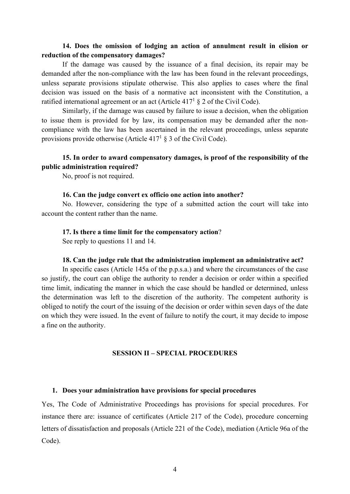## **14. Does the omission of lodging an action of annulment result in elision or reduction of the compensatory damages?**

If the damage was caused by the issuance of a final decision, its repair may be demanded after the non-compliance with the law has been found in the relevant proceedings, unless separate provisions stipulate otherwise. This also applies to cases where the final decision was issued on the basis of a normative act inconsistent with the Constitution, a ratified international agreement or an act (Article  $417<sup>1</sup>$  § 2 of the Civil Code).

Similarly, if the damage was caused by failure to issue a decision, when the obligation to issue them is provided for by law, its compensation may be demanded after the noncompliance with the law has been ascertained in the relevant proceedings, unless separate provisions provide otherwise (Article  $417<sup>1</sup>$  § 3 of the Civil Code).

## **15. In order to award compensatory damages, is proof of the responsibility of the public administration required?**

No, proof is not required.

#### **16. Can the judge convert ex officio one action into another?**

No. However, considering the type of a submitted action the court will take into account the content rather than the name.

#### **17. Is there a time limit for the compensatory action**?

See reply to questions 11 and 14.

#### **18. Can the judge rule that the administration implement an administrative act?**

In specific cases (Article 145a of the p.p.s.a.) and where the circumstances of the case so justify, the court can oblige the authority to render a decision or order within a specified time limit, indicating the manner in which the case should be handled or determined, unless the determination was left to the discretion of the authority. The competent authority is obliged to notify the court of the issuing of the decision or order within seven days of the date on which they were issued. In the event of failure to notify the court, it may decide to impose a fine on the authority.

#### **SESSION II – SPECIAL PROCEDURES**

#### **1. Does your administration have provisions for special procedures**

Yes, The Code of Administrative Proceedings has provisions for special procedures. For instance there are: issuance of certificates (Article 217 of the Code), procedure concerning letters of dissatisfaction and proposals (Article 221 of the Code), mediation (Article 96a of the Code).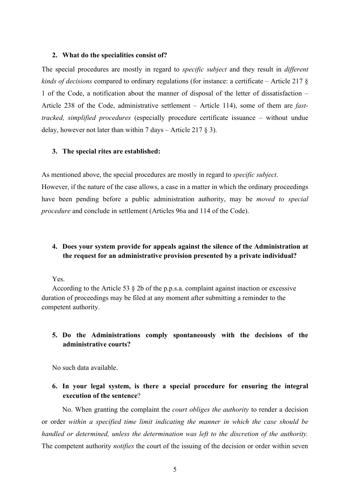#### **2. What do the specialities consist of?**

The special procedures are mostly in regard to *specific subject* and they result in *different kinds of decisions* compared to ordinary regulations (for instance: a certificate – Article 217 § 1 of the Code, a notification about the manner of disposal of the letter of dissatisfaction – Article 238 of the Code, administrative settlement – Article 114), some of them are *fasttracked, simplified procedures* (especially procedure certificate issuance – without undue delay, however not later than within 7 days – Article 217  $\S$  3).

#### **3. The special rites are established:**

As mentioned above, the special procedures are mostly in regard to *specific subject*.

However, if the nature of the case allows, a case in a matter in which the ordinary proceedings have been pending before a public administration authority, may be *moved to special procedure* and conclude in settlement (Articles 96a and 114 of the Code).

## **4. Does your system provide for appeals against the silence of the Administration at the request for an administrative provision presented by a private individual?**

Yes.

According to the Article 53 § 2b of the p.p.s.a. complaint against inaction or excessive duration of proceedings may be filed at any moment after submitting a reminder to the competent authority.

## **5. Do the Administrations comply spontaneously with the decisions of the administrative courts?**

No such data available.

## **6. In your legal system, is there a special procedure for ensuring the integral execution of the sentence**?

No. When granting the complaint the *court obliges the authority* to render a decision or order *within a specified time limit indicating the manner in which the case should be handled or determined, unless the determination was left to the discretion of the authority.* The competent authority *notifies* the court of the issuing of the decision or order within seven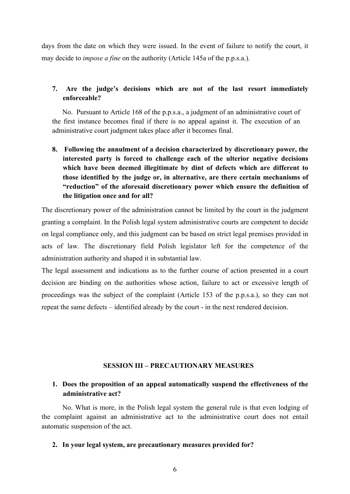days from the date on which they were issued. In the event of failure to notify the court, it may decide to *impose a fine* on the authority (Article 145a of the p.p.s.a.).

## **7. Are the judge's decisions which are not of the last resort immediately enforceable?**

No. Pursuant to Article 168 of the p.p.s.a., a judgment of an administrative court of the first instance becomes final if there is no appeal against it. The execution of an administrative court judgment takes place after it becomes final.

**8. Following the annulment of a decision characterized by discretionary power, the interested party is forced to challenge each of the ulterior negative decisions which have been deemed illegitimate by dint of defects which are different to those identified by the judge or, in alternative, are there certain mechanisms of "reduction" of the aforesaid discretionary power which ensure the definition of the litigation once and for all?**

The discretionary power of the administration cannot be limited by the court in the judgment granting a complaint. In the Polish legal system administrative courts are competent to decide on legal compliance only, and this judgment can be based on strict legal premises provided in acts of law. The discretionary field Polish legislator left for the competence of the administration authority and shaped it in substantial law.

The legal assessment and indications as to the further course of action presented in a court decision are binding on the authorities whose action, failure to act or excessive length of proceedings was the subject of the complaint (Article 153 of the p.p.s.a.), so they can not repeat the same defects – identified already by the court - in the next rendered decision.

#### **SESSION III – PRECAUTIONARY MEASURES**

## **1. Does the proposition of an appeal automatically suspend the effectiveness of the administrative act?**

No. What is more, in the Polish legal system the general rule is that even lodging of the complaint against an administrative act to the administrative court does not entail automatic suspension of the act.

#### **2. In your legal system, are precautionary measures provided for?**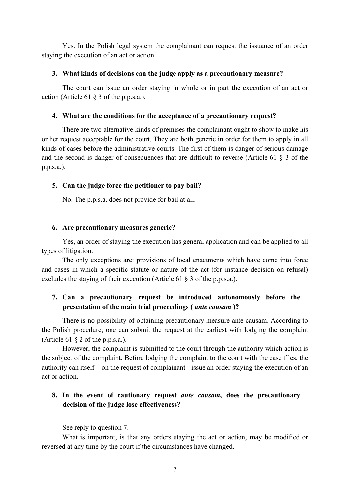Yes. In the Polish legal system the complainant can request the issuance of an order staying the execution of an act or action.

## **3. What kinds of decisions can the judge apply as a precautionary measure?**

The court can issue an order staying in whole or in part the execution of an act or action (Article 61 § 3 of the p.p.s.a.).

## **4. What are the conditions for the acceptance of a precautionary request?**

There are two alternative kinds of premises the complainant ought to show to make his or her request acceptable for the court. They are both generic in order for them to apply in all kinds of cases before the administrative courts. The first of them is danger of serious damage and the second is danger of consequences that are difficult to reverse (Article 61 § 3 of the p.p.s.a.).

## **5. Can the judge force the petitioner to pay bail?**

No. The p.p.s.a. does not provide for bail at all.

## **6. Are precautionary measures generic?**

Yes, an order of staying the execution has general application and can be applied to all types of litigation.

The only exceptions are: provisions of local enactments which have come into force and cases in which a specific statute or nature of the act (for instance decision on refusal) excludes the staying of their execution (Article 61 § 3 of the p.p.s.a.).

## **7. Can a precautionary request be introduced autonomously before the presentation of the main trial proceedings (** *ante causam* **)?**

There is no possibility of obtaining precautionary measure ante causam. According to the Polish procedure, one can submit the request at the earliest with lodging the complaint (Article 61 § 2 of the p.p.s.a.).

However, the complaint is submitted to the court through the authority which action is the subject of the complaint. Before lodging the complaint to the court with the case files, the authority can itself – on the request of complainant - issue an order staying the execution of an act or action.

## **8. In the event of cautionary request** *ante causam***, does the precautionary decision of the judge lose effectiveness?**

See reply to question 7.

What is important, is that any orders staying the act or action, may be modified or reversed at any time by the court if the circumstances have changed.